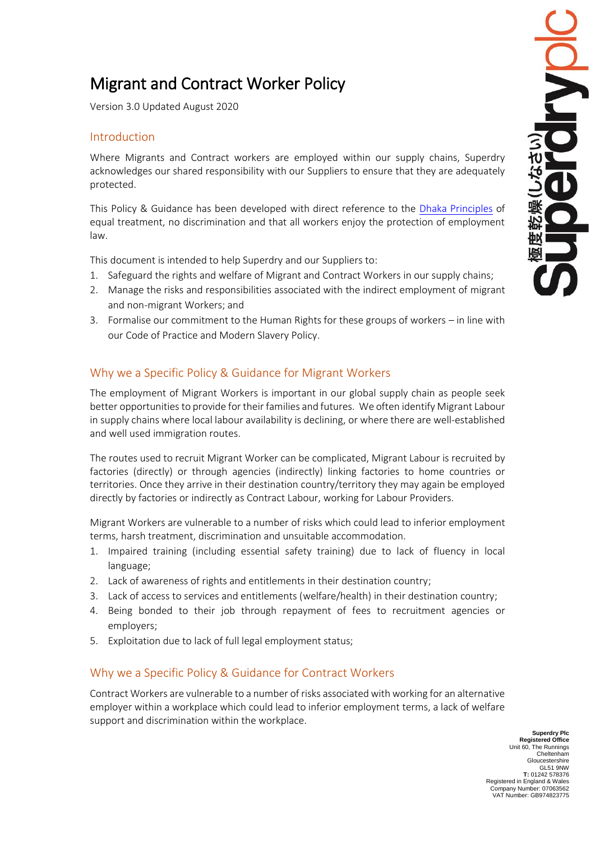# Migrant and Contract Worker Policy

Version 3.0 Updated August 2020

## Introduction

Where Migrants and Contract workers are employed within our supply chains, Superdry acknowledges our shared responsibility with our Suppliers to ensure that they are adequately protected.

This Policy & Guidance has been developed with direct reference to the [Dhaka Principles](http://www.dhaka-principles.org/) of equal treatment, no discrimination and that all workers enjoy the protection of employment law.

This document is intended to help Superdry and our Suppliers to:

- 1. Safeguard the rights and welfare of Migrant and Contract Workers in our supply chains;
- 2. Manage the risks and responsibilities associated with the indirect employment of migrant and non-migrant Workers; and
- 3. Formalise our commitment to the Human Rights for these groups of workers in line with our Code of Practice and Modern Slavery Policy.

## Why we a Specific Policy & Guidance for Migrant Workers

The employment of Migrant Workers is important in our global supply chain as people seek better opportunities to provide for their families and futures. We often identify Migrant Labour in supply chains where local labour availability is declining, or where there are well-established and well used immigration routes.

The routes used to recruit Migrant Worker can be complicated, Migrant Labour is recruited by factories (directly) or through agencies (indirectly) linking factories to home countries or territories. Once they arrive in their destination country/territory they may again be employed directly by factories or indirectly as Contract Labour, working for Labour Providers.

Migrant Workers are vulnerable to a number of risks which could lead to inferior employment terms, harsh treatment, discrimination and unsuitable accommodation.

- 1. Impaired training (including essential safety training) due to lack of fluency in local language;
- 2. Lack of awareness of rights and entitlements in their destination country;
- 3. Lack of access to services and entitlements (welfare/health) in their destination country;
- 4. Being bonded to their job through repayment of fees to recruitment agencies or employers;
- 5. Exploitation due to lack of full legal employment status;

#### Why we a Specific Policy & Guidance for Contract Workers

Contract Workers are vulnerable to a number of risks associated with working for an alternative employer within a workplace which could lead to inferior employment terms, a lack of welfare support and discrimination within the workplace.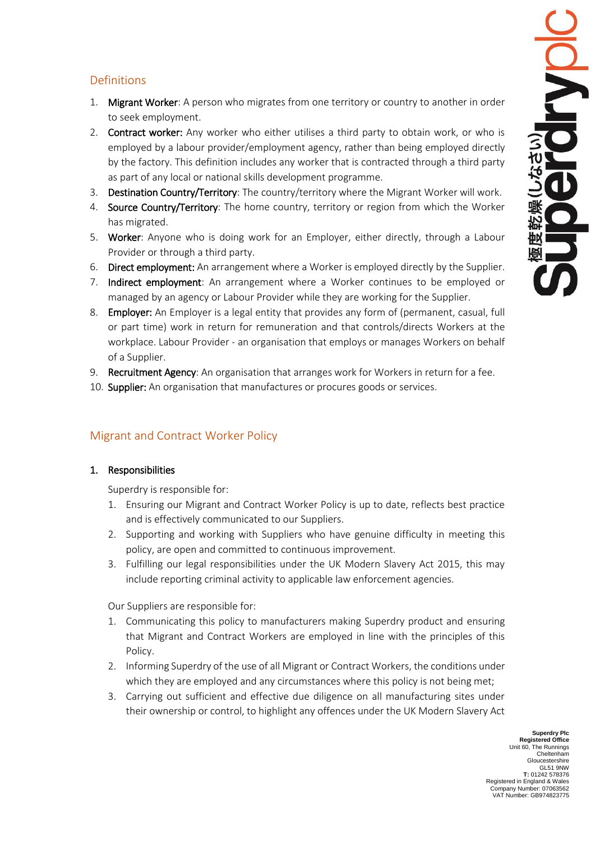# Definitions

- 1. Migrant Worker: A person who migrates from one territory or country to another in order to seek employment.
- 2. Contract worker: Any worker who either utilises a third party to obtain work, or who is employed by a labour provider/employment agency, rather than being employed directly by the factory. This definition includes any worker that is contracted through a third party as part of any local or national skills development programme.
- 3. Destination Country/Territory: The country/territory where the Migrant Worker will work.
- 4. Source Country/Territory: The home country, territory or region from which the Worker has migrated.
- 5. Worker: Anyone who is doing work for an Employer, either directly, through a Labour Provider or through a third party.
- 6. Direct employment: An arrangement where a Worker is employed directly by the Supplier.
- 7. Indirect employment: An arrangement where a Worker continues to be employed or managed by an agency or Labour Provider while they are working for the Supplier.
- 8. Employer: An Employer is a legal entity that provides any form of (permanent, casual, full or part time) work in return for remuneration and that controls/directs Workers at the workplace. Labour Provider - an organisation that employs or manages Workers on behalf of a Supplier.
- 9. Recruitment Agency: An organisation that arranges work for Workers in return for a fee.
- 10. Supplier: An organisation that manufactures or procures goods or services.

## Migrant and Contract Worker Policy

#### 1. Responsibilities

Superdry is responsible for:

- 1. Ensuring our Migrant and Contract Worker Policy is up to date, reflects best practice and is effectively communicated to our Suppliers.
- 2. Supporting and working with Suppliers who have genuine difficulty in meeting this policy, are open and committed to continuous improvement.
- 3. Fulfilling our legal responsibilities under the UK Modern Slavery Act 2015, this may include reporting criminal activity to applicable law enforcement agencies.

Our Suppliers are responsible for:

- 1. Communicating this policy to manufacturers making Superdry product and ensuring that Migrant and Contract Workers are employed in line with the principles of this Policy.
- 2. Informing Superdry of the use of all Migrant or Contract Workers, the conditions under which they are employed and any circumstances where this policy is not being met;
- 3. Carrying out sufficient and effective due diligence on all manufacturing sites under their ownership or control, to highlight any offences under the UK Modern Slavery Act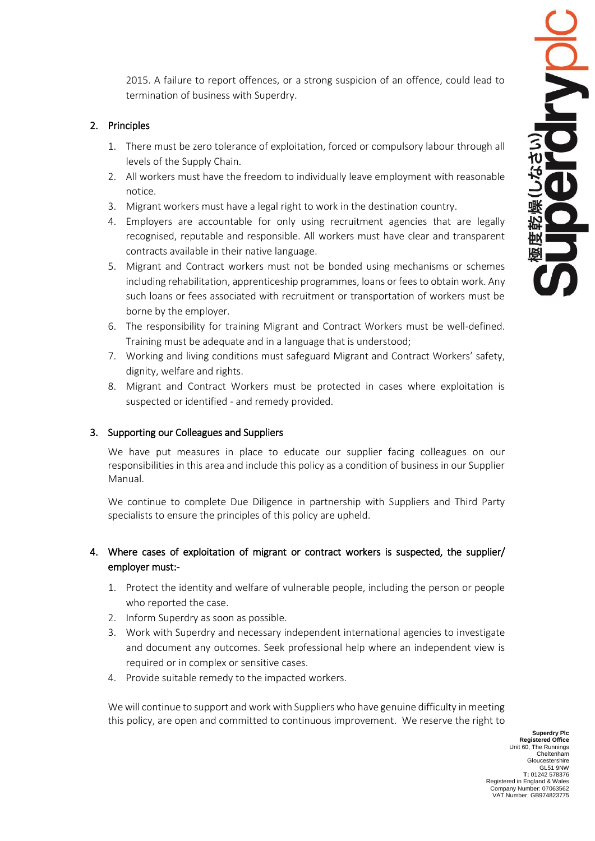2015. A failure to report offences, or a strong suspicion of an offence, could lead to termination of business with Superdry.

#### 2. Principles

- 1. There must be zero tolerance of exploitation, forced or compulsory labour through all levels of the Supply Chain.
- 2. All workers must have the freedom to individually leave employment with reasonable notice.
- 3. Migrant workers must have a legal right to work in the destination country.
- 4. Employers are accountable for only using recruitment agencies that are legally recognised, reputable and responsible. All workers must have clear and transparent contracts available in their native language.
- 5. Migrant and Contract workers must not be bonded using mechanisms or schemes including rehabilitation, apprenticeship programmes, loans or fees to obtain work. Any such loans or fees associated with recruitment or transportation of workers must be borne by the employer.
- 6. The responsibility for training Migrant and Contract Workers must be well-defined. Training must be adequate and in a language that is understood;
- 7. Working and living conditions must safeguard Migrant and Contract Workers' safety, dignity, welfare and rights.
- 8. Migrant and Contract Workers must be protected in cases where exploitation is suspected or identified - and remedy provided.

#### 3. Supporting our Colleagues and Suppliers

We have put measures in place to educate our supplier facing colleagues on our responsibilities in this area and include this policy as a condition of business in our Supplier Manual.

We continue to complete Due Diligence in partnership with Suppliers and Third Party specialists to ensure the principles of this policy are upheld.

#### 4. Where cases of exploitation of migrant or contract workers is suspected, the supplier/ employer must:-

- 1. Protect the identity and welfare of vulnerable people, including the person or people who reported the case.
- 2. Inform Superdry as soon as possible.
- 3. Work with Superdry and necessary independent international agencies to investigate and document any outcomes. Seek professional help where an independent view is required or in complex or sensitive cases.
- 4. Provide suitable remedy to the impacted workers.

We will continue to support and work with Suppliers who have genuine difficulty in meeting this policy, are open and committed to continuous improvement. We reserve the right to